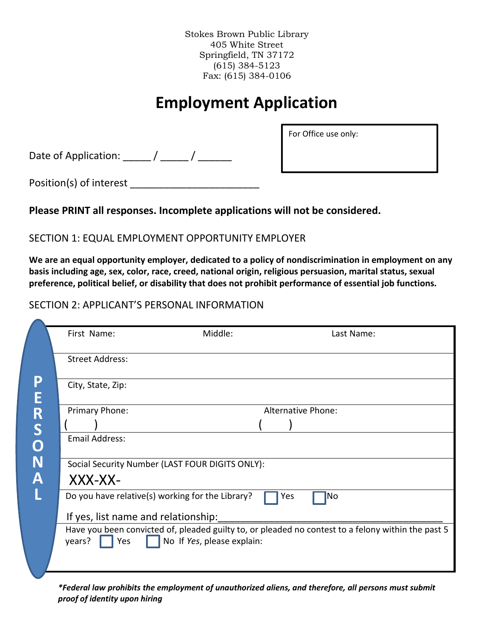Stokes Brown Public Library 405 White Street Springfield, TN 37172 (615) 384-5123 Fax: (615) 384-0106

# **Employment Application**

Date of Application: \_\_\_\_\_\_ / \_\_\_\_\_\_ / \_\_\_\_\_\_\_

For Office use only:

Position(s) of interest \_\_\_\_\_\_\_\_\_\_\_\_\_\_\_\_\_\_\_\_\_\_\_

### **Please PRINT all responses. Incomplete applications will not be considered.**

### SECTION 1: EQUAL EMPLOYMENT OPPORTUNITY EMPLOYER

**We are an equal opportunity employer, dedicated to a policy of nondiscrimination in employment on any basis including age, sex, color, race, creed, national origin, religious persuasion, marital status, sexual preference, political belief, or disability that does not prohibit performance of essential job functions.**

### SECTION 2: APPLICANT'S PERSONAL INFORMATION

|        | First Name:                         | Middle:                                                                                                                          |                    | Last Name: |
|--------|-------------------------------------|----------------------------------------------------------------------------------------------------------------------------------|--------------------|------------|
|        | <b>Street Address:</b>              |                                                                                                                                  |                    |            |
| P<br>Ē | City, State, Zip:                   |                                                                                                                                  |                    |            |
| R      | Primary Phone:                      |                                                                                                                                  | Alternative Phone: |            |
|        |                                     |                                                                                                                                  |                    |            |
| S<br>O | <b>Email Address:</b>               |                                                                                                                                  |                    |            |
| N      |                                     | Social Security Number (LAST FOUR DIGITS ONLY):                                                                                  |                    |            |
|        | XXX-XX-                             |                                                                                                                                  |                    |            |
|        |                                     | Do you have relative(s) working for the Library?                                                                                 | Yes<br>No          |            |
|        | If yes, list name and relationship: |                                                                                                                                  |                    |            |
|        | years?<br>Yes                       | Have you been convicted of, pleaded guilty to, or pleaded no contest to a felony within the past 5<br>No If Yes, please explain: |                    |            |
|        |                                     |                                                                                                                                  |                    |            |

*\*Federal law prohibits the employment of unauthorized aliens, and therefore, all persons must submit proof of identity upon hiring*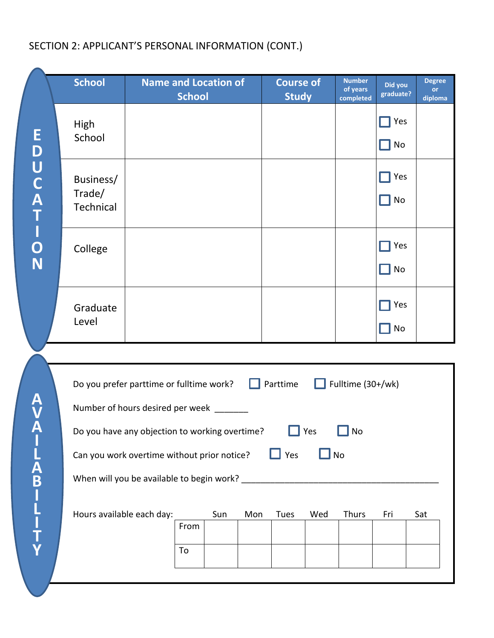## SECTION 2: APPLICANT'S PERSONAL INFORMATION (CONT.)

|                | <b>School</b>                                  | <b>Name and Location of</b><br><b>School</b> |     |     | <b>Course of</b><br><b>Study</b> |     | <b>Number</b><br>of years<br>completed | Did you<br>graduate? | <b>Degree</b><br>or<br>diploma |
|----------------|------------------------------------------------|----------------------------------------------|-----|-----|----------------------------------|-----|----------------------------------------|----------------------|--------------------------------|
|                | <b>High</b><br>School                          |                                              |     |     |                                  |     |                                        | Yes<br>No            |                                |
| EDUCATION      | Business/<br>Trade/<br>Technical               |                                              |     |     |                                  |     |                                        | Yes<br>No            |                                |
|                | College                                        |                                              |     |     |                                  |     |                                        | Yes<br>No            |                                |
|                | Graduate<br>Level                              |                                              |     |     |                                  |     |                                        | Yes<br>No            |                                |
|                |                                                |                                              |     |     |                                  |     |                                        |                      |                                |
|                | Do you prefer parttime or fulltime work?       |                                              |     | П   | Parttime                         | H   | Fulltime (30+/wk)                      |                      |                                |
| A<br>V         | Number of hours desired per week _______       |                                              |     |     |                                  |     |                                        |                      |                                |
| Ă              | Do you have any objection to working overtime? |                                              |     |     |                                  | Yes | No                                     |                      |                                |
|                | Can you work overtime without prior notice?    |                                              |     |     | $\Box$ Yes                       |     | No                                     |                      |                                |
|                |                                                |                                              |     |     |                                  |     |                                        |                      |                                |
| <b>ABILITY</b> | Hours available each day:                      | From<br>To                                   | Sun | Mon | Tues                             | Wed | Thurs                                  | Fri                  | Sat                            |
|                |                                                |                                              |     |     |                                  |     |                                        |                      |                                |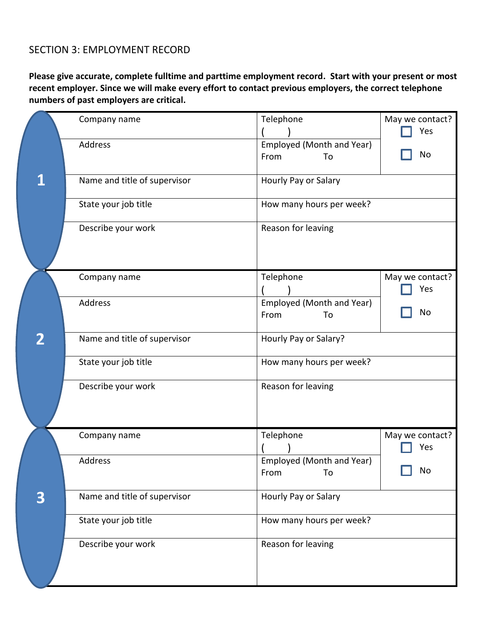### SECTION 3: EMPLOYMENT RECORD

**Please give accurate, complete fulltime and parttime employment record. Start with your present or most recent employer. Since we will make every effort to contact previous employers, the correct telephone numbers of past employers are critical.** 

|   | Company name                 | Telephone                               | May we contact?<br>Yes |
|---|------------------------------|-----------------------------------------|------------------------|
|   | Address                      | Employed (Month and Year)<br>From<br>To | No                     |
|   | Name and title of supervisor | Hourly Pay or Salary                    |                        |
|   | State your job title         | How many hours per week?                |                        |
|   | Describe your work           | Reason for leaving                      |                        |
|   | Company name                 | Telephone                               | May we contact?<br>Yes |
|   | <b>Address</b>               | Employed (Month and Year)<br>From<br>To | No                     |
| 2 | Name and title of supervisor | Hourly Pay or Salary?                   |                        |
|   | State your job title         | How many hours per week?                |                        |
|   | Describe your work           | Reason for leaving                      |                        |
|   | Company name                 | Telephone                               | May we contact?<br>Yes |
|   | Address                      | Employed (Month and Year)<br>From<br>To | No                     |
| 3 | Name and title of supervisor | Hourly Pay or Salary                    |                        |
|   | State your job title         | How many hours per week?                |                        |
|   | Describe your work           | Reason for leaving                      |                        |